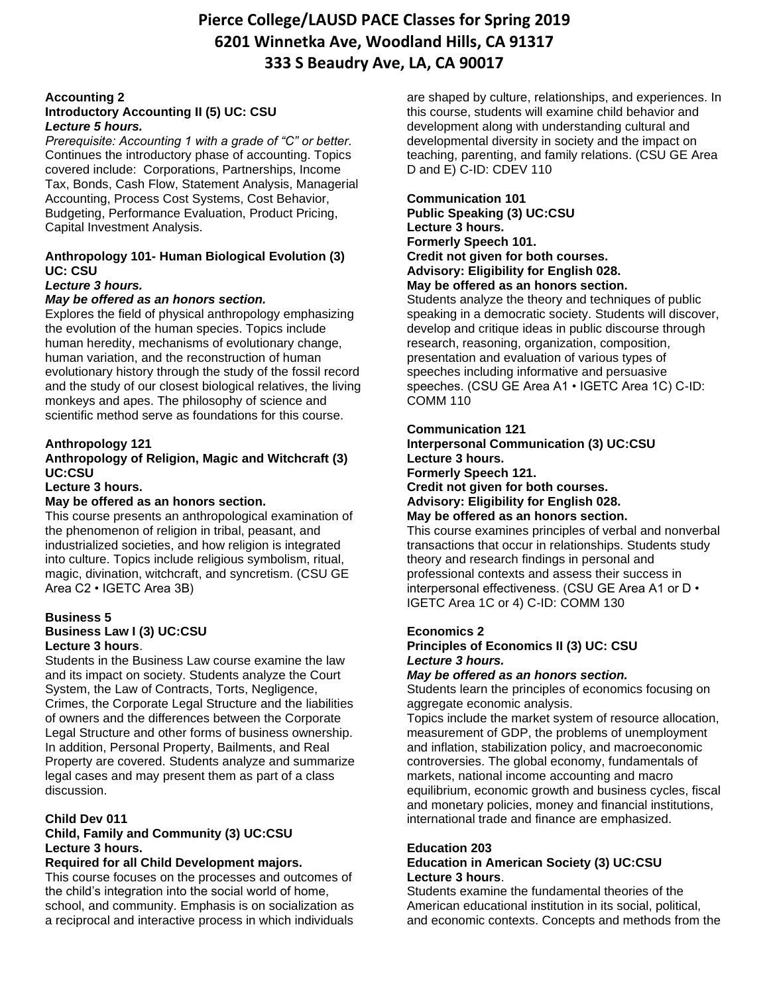# **Accounting 2**

# **Introductory Accounting II (5) UC: CSU** *Lecture 5 hours.*

*Prerequisite: Accounting 1 with a grade of "C" or better.* Continues the introductory phase of accounting. Topics covered include: Corporations, Partnerships, Income Tax, Bonds, Cash Flow, Statement Analysis, Managerial Accounting, Process Cost Systems, Cost Behavior, Budgeting, Performance Evaluation, Product Pricing, Capital Investment Analysis.

# **Anthropology 101- Human Biological Evolution (3) UC: CSU**

# *Lecture 3 hours.*

# *May be offered as an honors section.*

Explores the field of physical anthropology emphasizing the evolution of the human species. Topics include human heredity, mechanisms of evolutionary change, human variation, and the reconstruction of human evolutionary history through the study of the fossil record and the study of our closest biological relatives, the living monkeys and apes. The philosophy of science and scientific method serve as foundations for this course.

# **Anthropology 121**

# **Anthropology of Religion, Magic and Witchcraft (3) UC:CSU**

#### **Lecture 3 hours.**

# **May be offered as an honors section.**

This course presents an anthropological examination of the phenomenon of religion in tribal, peasant, and industrialized societies, and how religion is integrated into culture. Topics include religious symbolism, ritual, magic, divination, witchcraft, and syncretism. (CSU GE Area C2 • IGETC Area 3B)

# **Business 5**

#### **Business Law I (3) UC:CSU Lecture 3 hours**.

Students in the Business Law course examine the law and its impact on society. Students analyze the Court System, the Law of Contracts, Torts, Negligence, Crimes, the Corporate Legal Structure and the liabilities of owners and the differences between the Corporate Legal Structure and other forms of business ownership. In addition, Personal Property, Bailments, and Real Property are covered. Students analyze and summarize legal cases and may present them as part of a class discussion.

# **Child Dev 011**

# **Child, Family and Community (3) UC:CSU Lecture 3 hours.**

# **Required for all Child Development majors.**

This course focuses on the processes and outcomes of the child's integration into the social world of home, school, and community. Emphasis is on socialization as a reciprocal and interactive process in which individuals

are shaped by culture, relationships, and experiences. In this course, students will examine child behavior and development along with understanding cultural and developmental diversity in society and the impact on teaching, parenting, and family relations. (CSU GE Area D and E) C-ID: CDEV 110

#### **Communication 101 Public Speaking (3) UC:CSU Lecture 3 hours. Formerly Speech 101. Credit not given for both courses. Advisory: Eligibility for English 028. May be offered as an honors section.**

Students analyze the theory and techniques of public speaking in a democratic society. Students will discover, develop and critique ideas in public discourse through research, reasoning, organization, composition, presentation and evaluation of various types of speeches including informative and persuasive speeches. (CSU GE Area A1 • IGETC Area 1C) C-ID: COMM 110

#### **Communication 121**

**Interpersonal Communication (3) UC:CSU Lecture 3 hours. Formerly Speech 121. Credit not given for both courses. Advisory: Eligibility for English 028. May be offered as an honors section.** 

This course examines principles of verbal and nonverbal transactions that occur in relationships. Students study theory and research findings in personal and professional contexts and assess their success in interpersonal effectiveness. (CSU GE Area A1 or D • IGETC Area 1C or 4) C-ID: COMM 130

# **Economics 2**

# **Principles of Economics II (3) UC: CSU** *Lecture 3 hours.*

#### *May be offered as an honors section.*

Students learn the principles of economics focusing on aggregate economic analysis.

Topics include the market system of resource allocation, measurement of GDP, the problems of unemployment and inflation, stabilization policy, and macroeconomic controversies. The global economy, fundamentals of markets, national income accounting and macro equilibrium, economic growth and business cycles, fiscal and monetary policies, money and financial institutions, international trade and finance are emphasized.

# **Education 203**

# **Education in American Society (3) UC:CSU Lecture 3 hours**.

Students examine the fundamental theories of the American educational institution in its social, political, and economic contexts. Concepts and methods from the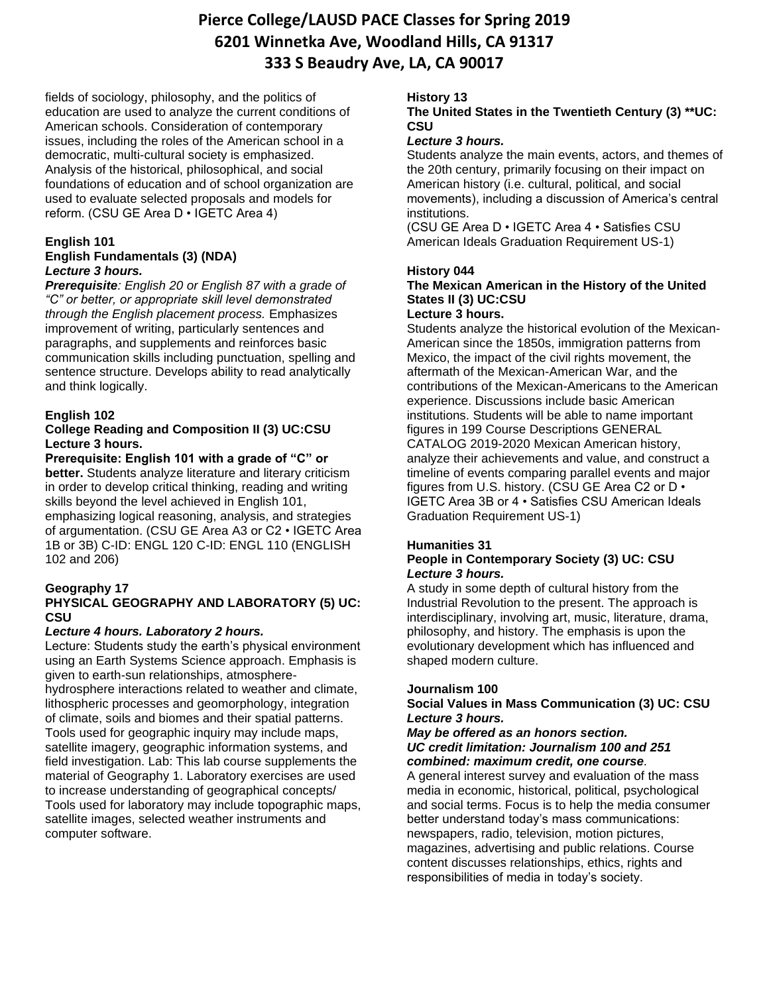fields of sociology, philosophy, and the politics of education are used to analyze the current conditions of American schools. Consideration of contemporary issues, including the roles of the American school in a democratic, multi-cultural society is emphasized. Analysis of the historical, philosophical, and social foundations of education and of school organization are used to evaluate selected proposals and models for reform. (CSU GE Area D • IGETC Area 4)

# **English 101**

## **English Fundamentals (3) (NDA)** *Lecture 3 hours.*

*Prerequisite: English 20 or English 87 with a grade of "C" or better, or appropriate skill level demonstrated through the English placement process.* Emphasizes improvement of writing, particularly sentences and paragraphs, and supplements and reinforces basic communication skills including punctuation, spelling and sentence structure. Develops ability to read analytically and think logically.

# **English 102**

# **College Reading and Composition II (3) UC:CSU Lecture 3 hours.**

**Prerequisite: English 101 with a grade of "C" or better.** Students analyze literature and literary criticism in order to develop critical thinking, reading and writing skills beyond the level achieved in English 101, emphasizing logical reasoning, analysis, and strategies of argumentation. (CSU GE Area A3 or C2 • IGETC Area 1B or 3B) C-ID: ENGL 120 C-ID: ENGL 110 (ENGLISH 102 and 206)

# **Geography 17**

# **PHYSICAL GEOGRAPHY AND LABORATORY (5) UC: CSU**

# *Lecture 4 hours. Laboratory 2 hours.*

Lecture: Students study the earth's physical environment using an Earth Systems Science approach. Emphasis is given to earth-sun relationships, atmosphere-

hydrosphere interactions related to weather and climate, lithospheric processes and geomorphology, integration of climate, soils and biomes and their spatial patterns. Tools used for geographic inquiry may include maps, satellite imagery, geographic information systems, and field investigation. Lab: This lab course supplements the material of Geography 1. Laboratory exercises are used to increase understanding of geographical concepts/ Tools used for laboratory may include topographic maps, satellite images, selected weather instruments and computer software.

# **History 13**

# **The United States in the Twentieth Century (3) \*\*UC: CSU**

# *Lecture 3 hours.*

Students analyze the main events, actors, and themes of the 20th century, primarily focusing on their impact on American history (i.e. cultural, political, and social movements), including a discussion of America's central institutions.

(CSU GE Area D • IGETC Area 4 • Satisfies CSU American Ideals Graduation Requirement US-1)

# **History 044**

# **The Mexican American in the History of the United States II (3) UC:CSU**

# **Lecture 3 hours.**

Students analyze the historical evolution of the Mexican-American since the 1850s, immigration patterns from Mexico, the impact of the civil rights movement, the aftermath of the Mexican-American War, and the contributions of the Mexican-Americans to the American experience. Discussions include basic American institutions. Students will be able to name important figures in 199 Course Descriptions GENERAL CATALOG 2019-2020 Mexican American history, analyze their achievements and value, and construct a timeline of events comparing parallel events and major figures from U.S. history. (CSU GE Area C2 or D • IGETC Area 3B or 4 • Satisfies CSU American Ideals Graduation Requirement US-1)

# **Humanities 31**

# **People in Contemporary Society (3) UC: CSU** *Lecture 3 hours.*

A study in some depth of cultural history from the Industrial Revolution to the present. The approach is interdisciplinary, involving art, music, literature, drama, philosophy, and history. The emphasis is upon the evolutionary development which has influenced and shaped modern culture.

# **Journalism 100**

# **Social Values in Mass Communication (3) UC: CSU**  *Lecture 3 hours.*

#### *May be offered as an honors section. UC credit limitation: Journalism 100 and 251 combined: maximum credit, one course.*

A general interest survey and evaluation of the mass media in economic, historical, political, psychological and social terms. Focus is to help the media consumer better understand today's mass communications: newspapers, radio, television, motion pictures, magazines, advertising and public relations. Course content discusses relationships, ethics, rights and responsibilities of media in today's society.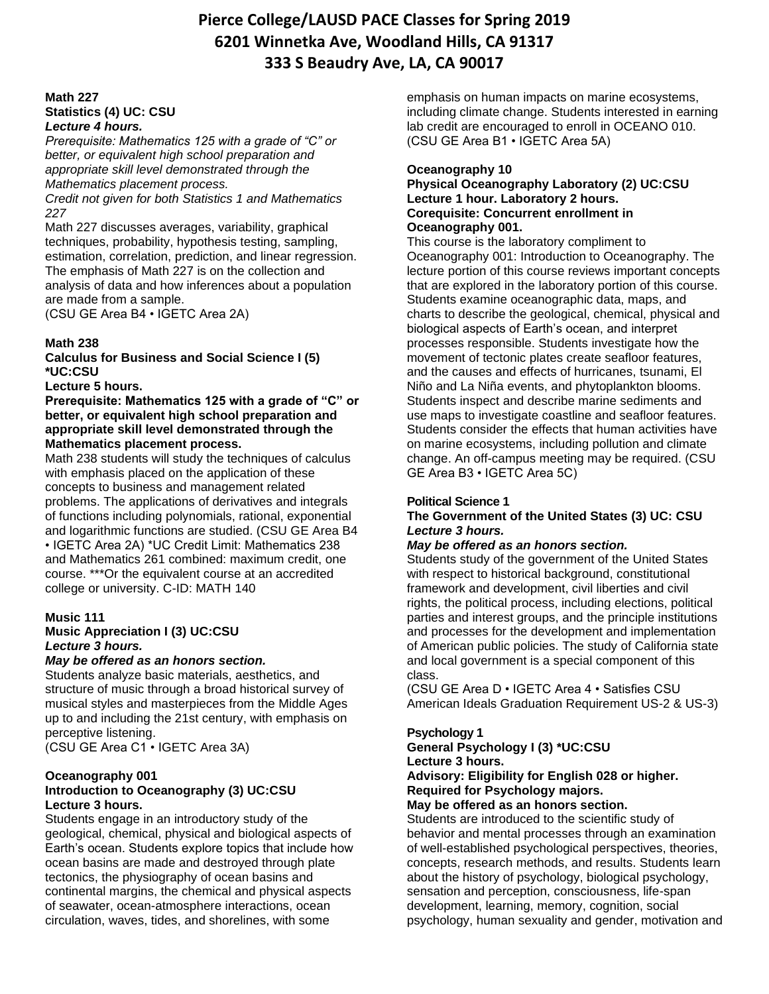#### **Math 227 Statistics (4) UC: CSU** *Lecture 4 hours.*

*Prerequisite: Mathematics 125 with a grade of "C" or better, or equivalent high school preparation and appropriate skill level demonstrated through the Mathematics placement process.*

*Credit not given for both Statistics 1 and Mathematics 227*

Math 227 discusses averages, variability, graphical techniques, probability, hypothesis testing, sampling, estimation, correlation, prediction, and linear regression. The emphasis of Math 227 is on the collection and analysis of data and how inferences about a population are made from a sample.

(CSU GE Area B4 • IGETC Area 2A)

# **Math 238**

**Calculus for Business and Social Science I (5) \*UC:CSU** 

#### **Lecture 5 hours.**

**Prerequisite: Mathematics 125 with a grade of "C" or better, or equivalent high school preparation and appropriate skill level demonstrated through the Mathematics placement process.** 

Math 238 students will study the techniques of calculus with emphasis placed on the application of these concepts to business and management related problems. The applications of derivatives and integrals of functions including polynomials, rational, exponential and logarithmic functions are studied. (CSU GE Area B4 • IGETC Area 2A) \*UC Credit Limit: Mathematics 238 and Mathematics 261 combined: maximum credit, one course. \*\*\*Or the equivalent course at an accredited college or university. C-ID: MATH 140

# **Music 111**

**Music Appreciation I (3) UC:CSU**  *Lecture 3 hours.* 

#### *May be offered as an honors section.*

Students analyze basic materials, aesthetics, and structure of music through a broad historical survey of musical styles and masterpieces from the Middle Ages up to and including the 21st century, with emphasis on perceptive listening.

(CSU GE Area C1 • IGETC Area 3A)

#### **Oceanography 001 Introduction to Oceanography (3) UC:CSU Lecture 3 hours.**

Students engage in an introductory study of the geological, chemical, physical and biological aspects of Earth's ocean. Students explore topics that include how ocean basins are made and destroyed through plate tectonics, the physiography of ocean basins and continental margins, the chemical and physical aspects of seawater, ocean-atmosphere interactions, ocean circulation, waves, tides, and shorelines, with some

emphasis on human impacts on marine ecosystems, including climate change. Students interested in earning lab credit are encouraged to enroll in OCEANO 010. (CSU GE Area B1 • IGETC Area 5A)

# **Oceanography 10**

#### **Physical Oceanography Laboratory (2) UC:CSU Lecture 1 hour. Laboratory 2 hours. Corequisite: Concurrent enrollment in Oceanography 001.**

This course is the laboratory compliment to Oceanography 001: Introduction to Oceanography. The lecture portion of this course reviews important concepts that are explored in the laboratory portion of this course. Students examine oceanographic data, maps, and charts to describe the geological, chemical, physical and biological aspects of Earth's ocean, and interpret processes responsible. Students investigate how the movement of tectonic plates create seafloor features, and the causes and effects of hurricanes, tsunami, El Niño and La Niña events, and phytoplankton blooms. Students inspect and describe marine sediments and use maps to investigate coastline and seafloor features. Students consider the effects that human activities have on marine ecosystems, including pollution and climate change. An off-campus meeting may be required. (CSU GE Area B3 • IGETC Area 5C)

# **Political Science 1**

#### **The Government of the United States (3) UC: CSU** *Lecture 3 hours.*

# *May be offered as an honors section.*

Students study of the government of the United States with respect to historical background, constitutional framework and development, civil liberties and civil rights, the political process, including elections, political parties and interest groups, and the principle institutions and processes for the development and implementation of American public policies. The study of California state and local government is a special component of this class.

(CSU GE Area D • IGETC Area 4 • Satisfies CSU American Ideals Graduation Requirement US-2 & US-3)

# **Psychology 1**

**General Psychology I (3) \*UC:CSU** 

**Lecture 3 hours.** 

**Advisory: Eligibility for English 028 or higher. Required for Psychology majors.** 

# **May be offered as an honors section.**

Students are introduced to the scientific study of behavior and mental processes through an examination of well-established psychological perspectives, theories, concepts, research methods, and results. Students learn about the history of psychology, biological psychology, sensation and perception, consciousness, life-span development, learning, memory, cognition, social psychology, human sexuality and gender, motivation and